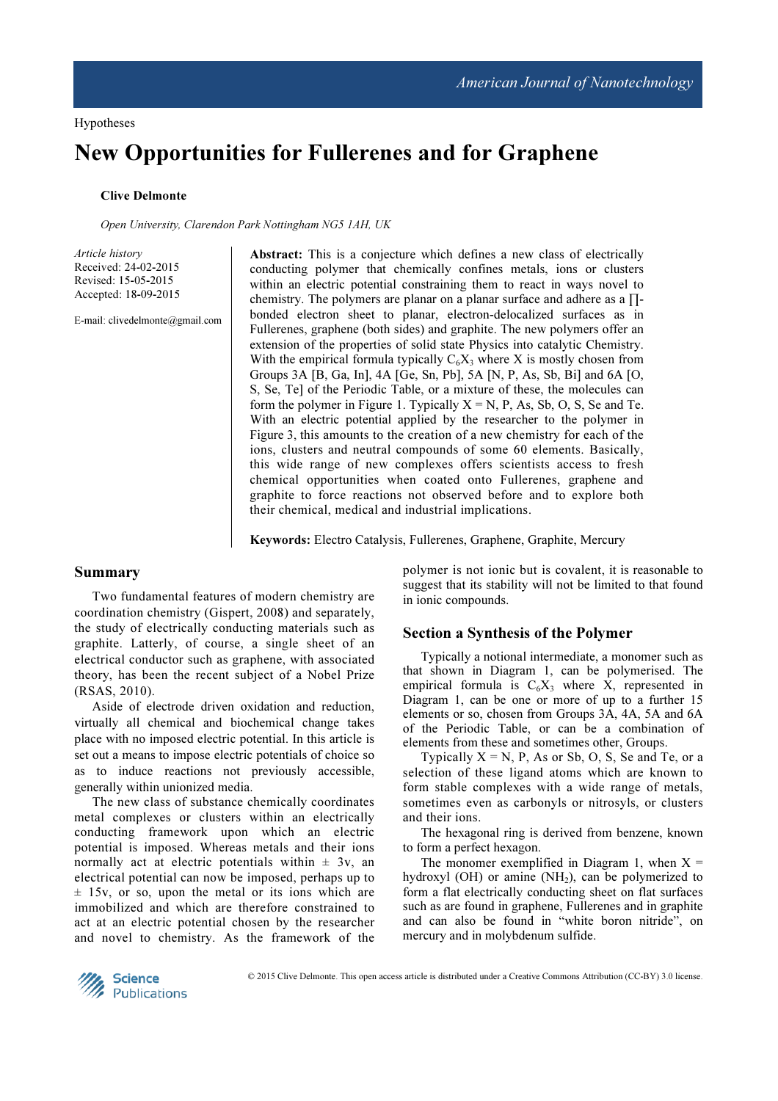# New Opportunities for Fullerenes and for Graphene

## Clive Delmonte

Open University, Clarendon Park Nottingham NG5 1AH, UK

Article history Received: 24-02-2015 Revised: 15-05-2015 Accepted: 18-09-2015

E-mail: clivedelmonte@gmail.com

Abstract: This is a conjecture which defines a new class of electrically conducting polymer that chemically confines metals, ions or clusters within an electric potential constraining them to react in ways novel to chemistry. The polymers are planar on a planar surface and adhere as a  $\Pi$ bonded electron sheet to planar, electron-delocalized surfaces as in Fullerenes, graphene (both sides) and graphite. The new polymers offer an extension of the properties of solid state Physics into catalytic Chemistry. With the empirical formula typically  $C_6X_3$  where X is mostly chosen from Groups 3A [B, Ga, In], 4A [Ge, Sn, Pb], 5A [N, P, As, Sb, Bi] and 6A [O, S, Se, Te] of the Periodic Table, or a mixture of these, the molecules can form the polymer in Figure 1. Typically  $X = N$ , P, As, Sb, O, S, Se and Te. With an electric potential applied by the researcher to the polymer in Figure 3, this amounts to the creation of a new chemistry for each of the ions, clusters and neutral compounds of some 60 elements. Basically, this wide range of new complexes offers scientists access to fresh chemical opportunities when coated onto Fullerenes, graphene and graphite to force reactions not observed before and to explore both their chemical, medical and industrial implications.

Keywords: Electro Catalysis, Fullerenes, Graphene, Graphite, Mercury

### Summary

Two fundamental features of modern chemistry are coordination chemistry (Gispert, 2008) and separately, the study of electrically conducting materials such as graphite. Latterly, of course, a single sheet of an electrical conductor such as graphene, with associated theory, has been the recent subject of a Nobel Prize (RSAS, 2010).

Aside of electrode driven oxidation and reduction, virtually all chemical and biochemical change takes place with no imposed electric potential. In this article is set out a means to impose electric potentials of choice so as to induce reactions not previously accessible, generally within unionized media.

The new class of substance chemically coordinates metal complexes or clusters within an electrically conducting framework upon which an electric potential is imposed. Whereas metals and their ions normally act at electric potentials within  $\pm$  3v, an electrical potential can now be imposed, perhaps up to  $\pm$  15v, or so, upon the metal or its ions which are immobilized and which are therefore constrained to act at an electric potential chosen by the researcher and novel to chemistry. As the framework of the

polymer is not ionic but is covalent, it is reasonable to suggest that its stability will not be limited to that found in ionic compounds.

### Section a Synthesis of the Polymer

Typically a notional intermediate, a monomer such as that shown in Diagram 1, can be polymerised. The empirical formula is  $C_6X_3$  where X, represented in Diagram 1, can be one or more of up to a further 15 elements or so, chosen from Groups 3A, 4A, 5A and 6A of the Periodic Table, or can be a combination of elements from these and sometimes other, Groups.

Typically  $X = N$ , P, As or Sb, O, S, Se and Te, or a selection of these ligand atoms which are known to form stable complexes with a wide range of metals, sometimes even as carbonyls or nitrosyls, or clusters and their ions.

The hexagonal ring is derived from benzene, known to form a perfect hexagon.

The monomer exemplified in Diagram 1, when  $X =$ hydroxyl (OH) or amine  $(NH<sub>2</sub>)$ , can be polymerized to form a flat electrically conducting sheet on flat surfaces such as are found in graphene, Fullerenes and in graphite and can also be found in "white boron nitride", on mercury and in molybdenum sulfide.

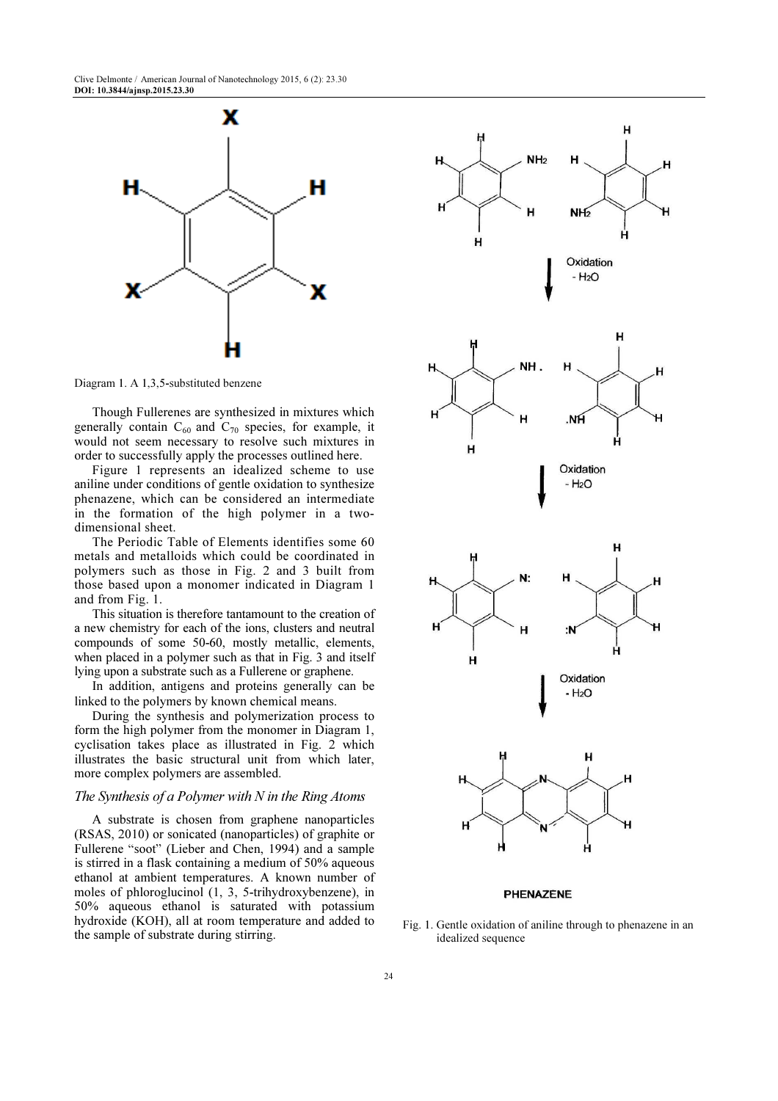Clive Delmonte / American Journal of Nanotechnology 2015, 6 (2): 23.30 DOI: 10.3844/ajnsp.2015.23.30



Diagram 1. A 1,3,5-substituted benzene

Though Fullerenes are synthesized in mixtures which generally contain  $C_{60}$  and  $C_{70}$  species, for example, it would not seem necessary to resolve such mixtures in order to successfully apply the processes outlined here.

Figure 1 represents an idealized scheme to use aniline under conditions of gentle oxidation to synthesize phenazene, which can be considered an intermediate in the formation of the high polymer in a twodimensional sheet.

The Periodic Table of Elements identifies some 60 metals and metalloids which could be coordinated in polymers such as those in Fig. 2 and 3 built from those based upon a monomer indicated in Diagram 1 and from Fig. 1.

This situation is therefore tantamount to the creation of a new chemistry for each of the ions, clusters and neutral compounds of some 50-60, mostly metallic, elements, when placed in a polymer such as that in Fig. 3 and itself lying upon a substrate such as a Fullerene or graphene.

In addition, antigens and proteins generally can be linked to the polymers by known chemical means.

During the synthesis and polymerization process to form the high polymer from the monomer in Diagram 1, cyclisation takes place as illustrated in Fig. 2 which illustrates the basic structural unit from which later, more complex polymers are assembled.

#### The Synthesis of a Polymer with  $N$  in the Ring Atoms

A substrate is chosen from graphene nanoparticles (RSAS, 2010) or sonicated (nanoparticles) of graphite or Fullerene "soot" (Lieber and Chen, 1994) and a sample is stirred in a flask containing a medium of 50% aqueous ethanol at ambient temperatures. A known number of moles of phloroglucinol (1, 3, 5-trihydroxybenzene), in 50% aqueous ethanol is saturated with potassium hydroxide (KOH), all at room temperature and added to the sample of substrate during stirring.



#### **PHENAZENE**

Fig. 1. Gentle oxidation of aniline through to phenazene in an idealized sequence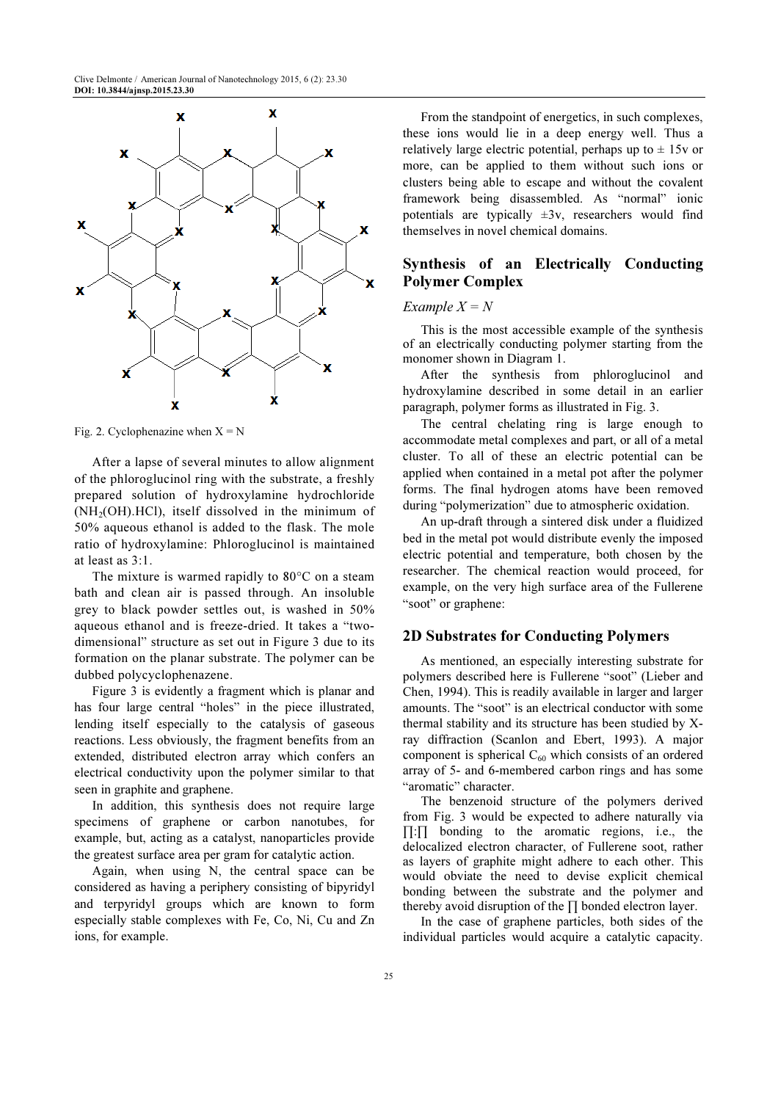

Fig. 2. Cyclophenazine when  $X = N$ 

After a lapse of several minutes to allow alignment of the phloroglucinol ring with the substrate, a freshly prepared solution of hydroxylamine hydrochloride (NH2(OH).HCl), itself dissolved in the minimum of 50% aqueous ethanol is added to the flask. The mole ratio of hydroxylamine: Phloroglucinol is maintained at least as 3:1.

The mixture is warmed rapidly to 80°C on a steam bath and clean air is passed through. An insoluble grey to black powder settles out, is washed in 50% aqueous ethanol and is freeze-dried. It takes a "twodimensional" structure as set out in Figure 3 due to its formation on the planar substrate. The polymer can be dubbed polycyclophenazene.

Figure 3 is evidently a fragment which is planar and has four large central "holes" in the piece illustrated, lending itself especially to the catalysis of gaseous reactions. Less obviously, the fragment benefits from an extended, distributed electron array which confers an electrical conductivity upon the polymer similar to that seen in graphite and graphene.

In addition, this synthesis does not require large specimens of graphene or carbon nanotubes, for example, but, acting as a catalyst, nanoparticles provide the greatest surface area per gram for catalytic action.

Again, when using N, the central space can be considered as having a periphery consisting of bipyridyl and terpyridyl groups which are known to form especially stable complexes with Fe, Co, Ni, Cu and Zn ions, for example.

From the standpoint of energetics, in such complexes, these ions would lie in a deep energy well. Thus a relatively large electric potential, perhaps up to  $\pm$  15v or more, can be applied to them without such ions or clusters being able to escape and without the covalent framework being disassembled. As "normal" ionic potentials are typically  $\pm 3v$ , researchers would find themselves in novel chemical domains.

## Synthesis of an Electrically Conducting Polymer Complex

## Example  $X = N$

This is the most accessible example of the synthesis of an electrically conducting polymer starting from the monomer shown in Diagram 1.

After the synthesis from phloroglucinol and hydroxylamine described in some detail in an earlier paragraph, polymer forms as illustrated in Fig. 3.

The central chelating ring is large enough to accommodate metal complexes and part, or all of a metal cluster. To all of these an electric potential can be applied when contained in a metal pot after the polymer forms. The final hydrogen atoms have been removed during "polymerization" due to atmospheric oxidation.

An up-draft through a sintered disk under a fluidized bed in the metal pot would distribute evenly the imposed electric potential and temperature, both chosen by the researcher. The chemical reaction would proceed, for example, on the very high surface area of the Fullerene "soot" or graphene:

## 2D Substrates for Conducting Polymers

As mentioned, an especially interesting substrate for polymers described here is Fullerene "soot" (Lieber and Chen, 1994). This is readily available in larger and larger amounts. The "soot" is an electrical conductor with some thermal stability and its structure has been studied by Xray diffraction (Scanlon and Ebert, 1993). A major component is spherical  $C_{60}$  which consists of an ordered array of 5- and 6-membered carbon rings and has some "aromatic" character.

The benzenoid structure of the polymers derived from Fig. 3 would be expected to adhere naturally via ∏:∏ bonding to the aromatic regions, i.e., the delocalized electron character, of Fullerene soot, rather as layers of graphite might adhere to each other. This would obviate the need to devise explicit chemical bonding between the substrate and the polymer and thereby avoid disruption of the ∏ bonded electron layer.

In the case of graphene particles, both sides of the individual particles would acquire a catalytic capacity.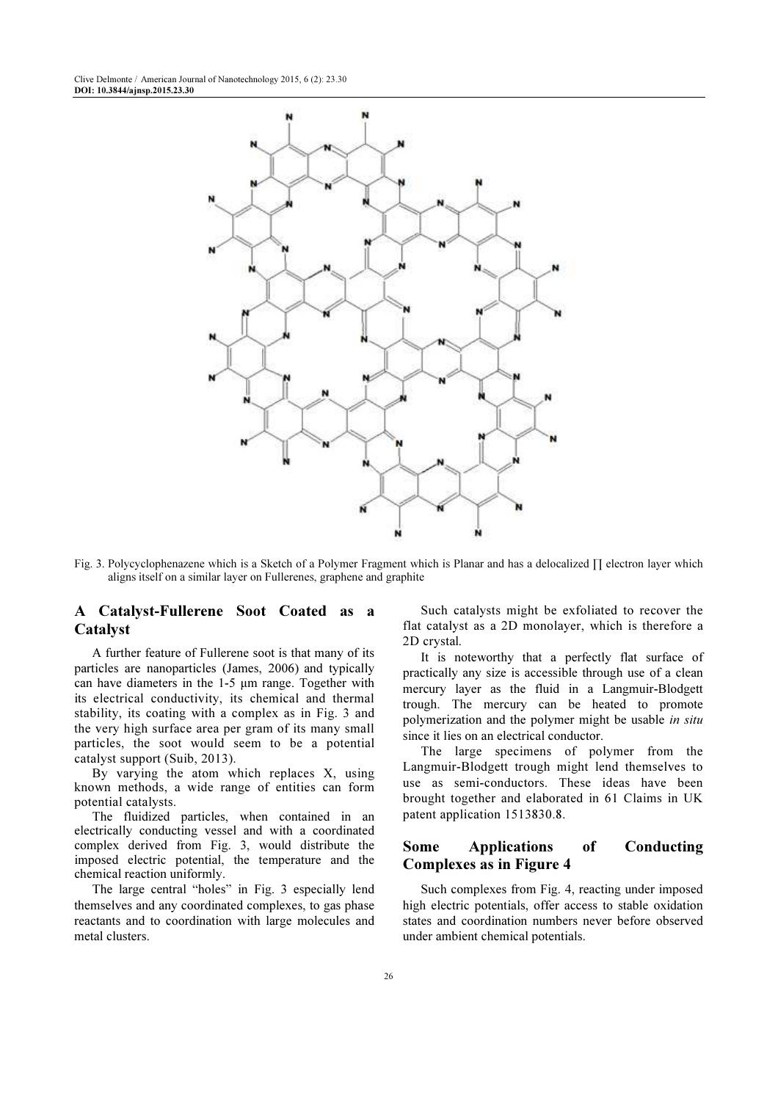

Fig. 3. Polycyclophenazene which is a Sketch of a Polymer Fragment which is Planar and has a delocalized ∏ electron layer which aligns itself on a similar layer on Fullerenes, graphene and graphite

## A Catalyst-Fullerene Soot Coated as a Catalyst

A further feature of Fullerene soot is that many of its particles are nanoparticles (James, 2006) and typically can have diameters in the 1-5 µm range. Together with its electrical conductivity, its chemical and thermal stability, its coating with a complex as in Fig. 3 and the very high surface area per gram of its many small particles, the soot would seem to be a potential catalyst support (Suib, 2013).

By varying the atom which replaces X, using known methods, a wide range of entities can form potential catalysts.

The fluidized particles, when contained in an electrically conducting vessel and with a coordinated complex derived from Fig. 3, would distribute the imposed electric potential, the temperature and the chemical reaction uniformly.

The large central "holes" in Fig. 3 especially lend themselves and any coordinated complexes, to gas phase reactants and to coordination with large molecules and metal clusters.

Such catalysts might be exfoliated to recover the flat catalyst as a 2D monolayer, which is therefore a 2D crystal.

It is noteworthy that a perfectly flat surface of practically any size is accessible through use of a clean mercury layer as the fluid in a Langmuir-Blodgett trough. The mercury can be heated to promote polymerization and the polymer might be usable in situ since it lies on an electrical conductor.

The large specimens of polymer from the Langmuir-Blodgett trough might lend themselves to use as semi-conductors. These ideas have been brought together and elaborated in 61 Claims in UK patent application 1513830.8.

## Some Applications of Conducting Complexes as in Figure 4

Such complexes from Fig. 4, reacting under imposed high electric potentials, offer access to stable oxidation states and coordination numbers never before observed under ambient chemical potentials.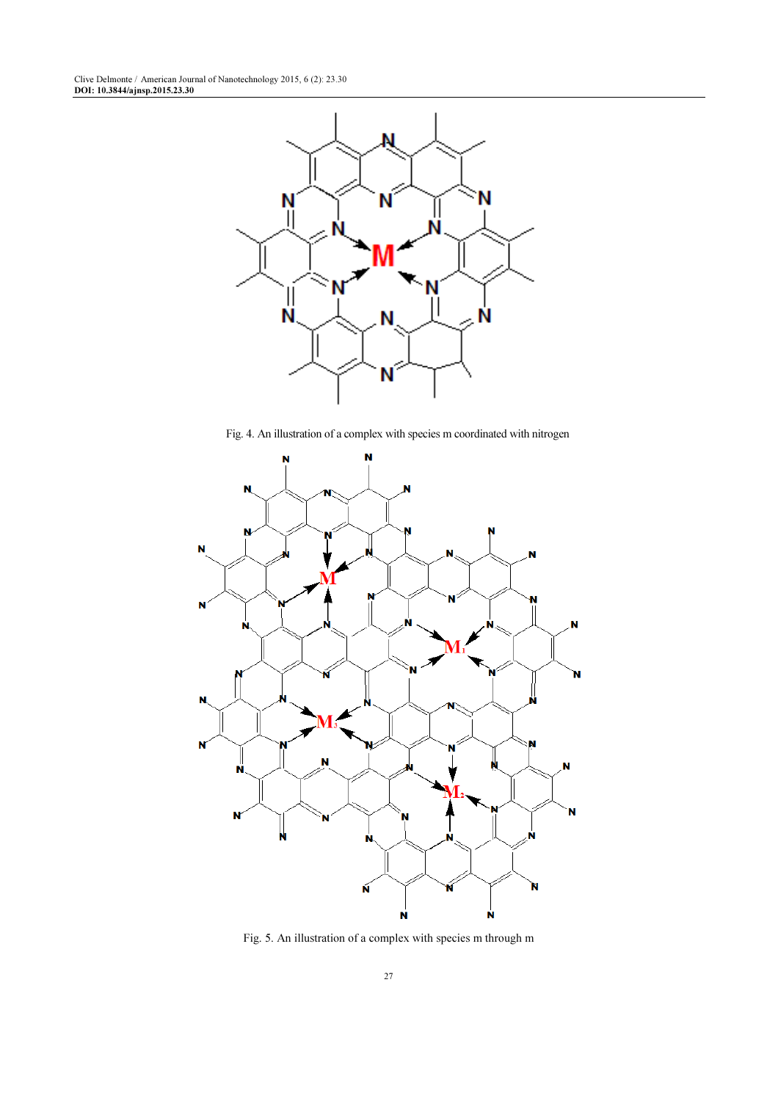

Fig. 4. An illustration of a complex with species m coordinated with nitrogen



Fig. 5. An illustration of a complex with species m through m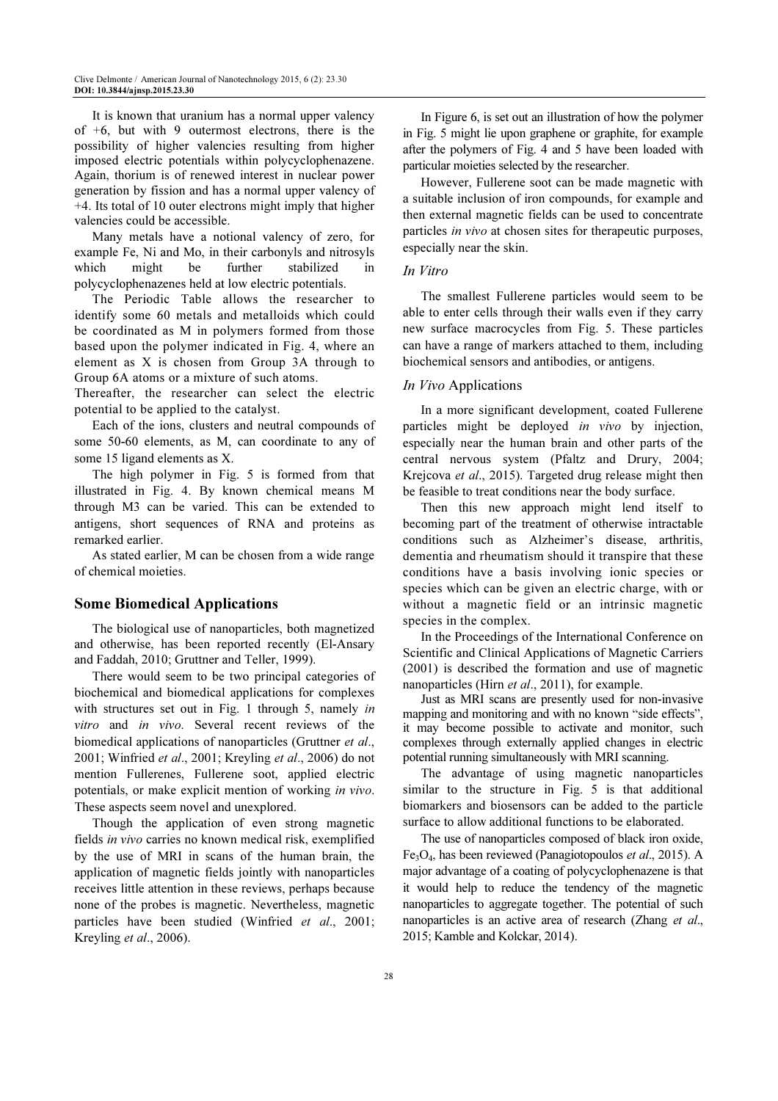It is known that uranium has a normal upper valency of  $+6$ , but with 9 outermost electrons, there is the possibility of higher valencies resulting from higher imposed electric potentials within polycyclophenazene. Again, thorium is of renewed interest in nuclear power generation by fission and has a normal upper valency of +4. Its total of 10 outer electrons might imply that higher valencies could be accessible.

Many metals have a notional valency of zero, for example Fe, Ni and Mo, in their carbonyls and nitrosyls which might be further stabilized in polycyclophenazenes held at low electric potentials.

The Periodic Table allows the researcher to identify some 60 metals and metalloids which could be coordinated as M in polymers formed from those based upon the polymer indicated in Fig. 4, where an element as X is chosen from Group 3A through to Group 6A atoms or a mixture of such atoms.

Thereafter, the researcher can select the electric potential to be applied to the catalyst.

Each of the ions, clusters and neutral compounds of some 50-60 elements, as M, can coordinate to any of some 15 ligand elements as X.

The high polymer in Fig. 5 is formed from that illustrated in Fig. 4. By known chemical means M through M3 can be varied. This can be extended to antigens, short sequences of RNA and proteins as remarked earlier.

As stated earlier, M can be chosen from a wide range of chemical moieties.

## Some Biomedical Applications

The biological use of nanoparticles, both magnetized and otherwise, has been reported recently (El-Ansary and Faddah, 2010; Gruttner and Teller, 1999).

There would seem to be two principal categories of biochemical and biomedical applications for complexes with structures set out in Fig. 1 through 5, namely in vitro and in vivo. Several recent reviews of the biomedical applications of nanoparticles (Gruttner *et al.*, 2001; Winfried et al., 2001; Kreyling et al., 2006) do not mention Fullerenes, Fullerene soot, applied electric potentials, or make explicit mention of working in vivo. These aspects seem novel and unexplored.

Though the application of even strong magnetic fields in vivo carries no known medical risk, exemplified by the use of MRI in scans of the human brain, the application of magnetic fields jointly with nanoparticles receives little attention in these reviews, perhaps because none of the probes is magnetic. Nevertheless, magnetic particles have been studied (Winfried et al., 2001; Kreyling et al., 2006).

In Figure 6, is set out an illustration of how the polymer in Fig. 5 might lie upon graphene or graphite, for example after the polymers of Fig. 4 and 5 have been loaded with particular moieties selected by the researcher.

However, Fullerene soot can be made magnetic with a suitable inclusion of iron compounds, for example and then external magnetic fields can be used to concentrate particles in vivo at chosen sites for therapeutic purposes, especially near the skin.

#### In Vitro

The smallest Fullerene particles would seem to be able to enter cells through their walls even if they carry new surface macrocycles from Fig. 5. These particles can have a range of markers attached to them, including biochemical sensors and antibodies, or antigens.

#### In *Vivo* Applications

In a more significant development, coated Fullerene particles might be deployed in vivo by injection, especially near the human brain and other parts of the central nervous system (Pfaltz and Drury, 2004; Krejcova et al., 2015). Targeted drug release might then be feasible to treat conditions near the body surface.

Then this new approach might lend itself to becoming part of the treatment of otherwise intractable conditions such as Alzheimer's disease, arthritis, dementia and rheumatism should it transpire that these conditions have a basis involving ionic species or species which can be given an electric charge, with or without a magnetic field or an intrinsic magnetic species in the complex.

In the Proceedings of the International Conference on Scientific and Clinical Applications of Magnetic Carriers (2001) is described the formation and use of magnetic nanoparticles (Hirn et al., 2011), for example.

Just as MRI scans are presently used for non-invasive mapping and monitoring and with no known "side effects", it may become possible to activate and monitor, such complexes through externally applied changes in electric potential running simultaneously with MRI scanning.

The advantage of using magnetic nanoparticles similar to the structure in Fig. 5 is that additional biomarkers and biosensors can be added to the particle surface to allow additional functions to be elaborated.

The use of nanoparticles composed of black iron oxide,  $Fe<sub>3</sub>O<sub>4</sub>$ , has been reviewed (Panagiotopoulos *et al.*, 2015). A major advantage of a coating of polycyclophenazene is that it would help to reduce the tendency of the magnetic nanoparticles to aggregate together. The potential of such nanoparticles is an active area of research (Zhang et al., 2015; Kamble and Kolckar, 2014).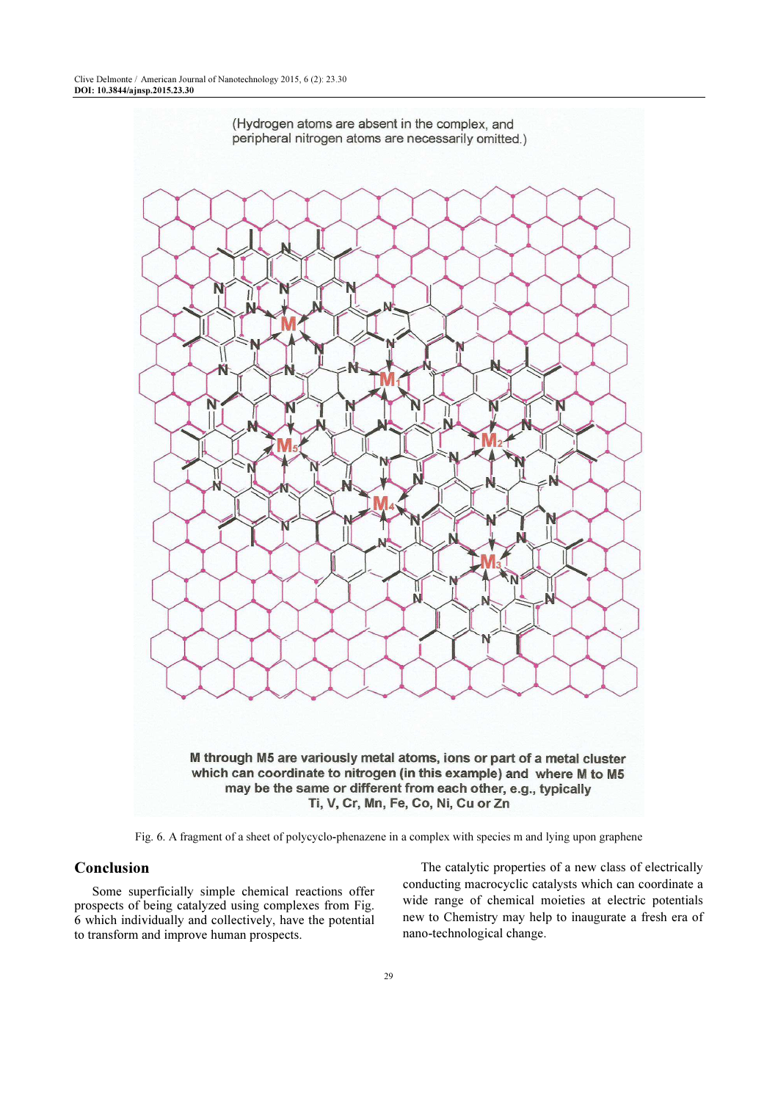

Fig. 6. A fragment of a sheet of polycyclo-phenazene in a complex with species m and lying upon graphene

## Conclusion

Some superficially simple chemical reactions offer prospects of being catalyzed using complexes from Fig. 6 which individually and collectively, have the potential to transform and improve human prospects.

The catalytic properties of a new class of electrically conducting macrocyclic catalysts which can coordinate a wide range of chemical moieties at electric potentials new to Chemistry may help to inaugurate a fresh era of nano-technological change.